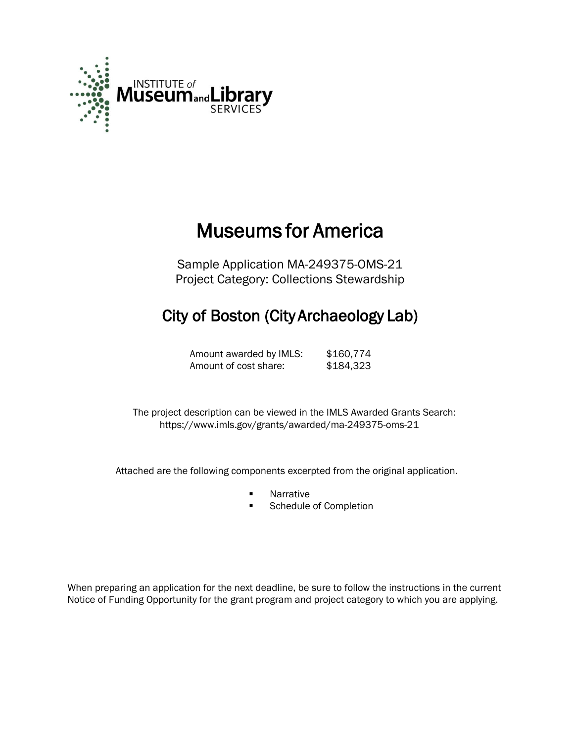

# Museums for America

Sample Application MA-249375-OMS-21 Project Category: Collections Stewardship

# City of Boston (City Archaeology Lab)

Amount awarded by IMLS: \$160,774 Amount of cost share: \$184,323

 The project description can be viewed in the IMLS Awarded Grants Search: <https://www.imls.gov/grants/awarded/ma-249375-oms-21>

Attached are the following components excerpted from the original application.

- **Narrative**
- Schedule of Completion

When preparing an application for the next deadline, be sure to follow the instructions in the current Notice of Funding Opportunity for the grant program and project category to which you are applying.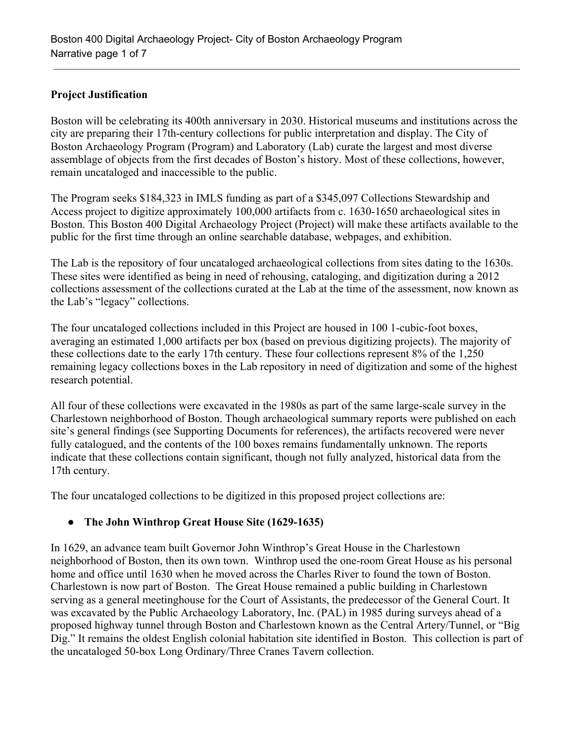## **Project Justification**

Boston will be celebrating its 400th anniversary in 2030. Historical museums and institutions across the city are preparing their 17th-century collections for public interpretation and display. The City of Boston Archaeology Program (Program) and Laboratory (Lab) curate the largest and most diverse assemblage of objects from the first decades of Boston's history. Most of these collections, however, remain uncataloged and inaccessible to the public.

The Program seeks \$184,323 in IMLS funding as part of a \$345,097 Collections Stewardship and Access project to digitize approximately 100,000 artifacts from c. 1630-1650 archaeological sites in Boston. This Boston 400 Digital Archaeology Project (Project) will make these artifacts available to the public for the first time through an online searchable database, webpages, and exhibition.

The Lab is the repository of four uncataloged archaeological collections from sites dating to the 1630s. These sites were identified as being in need of rehousing, cataloging, and digitization during a 2012 collections assessment of the collections curated at the Lab at the time of the assessment, now known as the Lab's "legacy" collections.

The four uncataloged collections included in this Project are housed in 100 1-cubic-foot boxes, averaging an estimated 1,000 artifacts per box (based on previous digitizing projects). The majority of these collections date to the early 17th century. These four collections represent 8% of the 1,250 remaining legacy collections boxes in the Lab repository in need of digitization and some of the highest research potential.

All four of these collections were excavated in the 1980s as part of the same large-scale survey in the Charlestown neighborhood of Boston. Though archaeological summary reports were published on each site's general findings (see Supporting Documents for references), the artifacts recovered were never fully catalogued, and the contents of the 100 boxes remains fundamentally unknown. The reports indicate that these collections contain significant, though not fully analyzed, historical data from the 17th century.

The four uncataloged collections to be digitized in this proposed project collections are:

# **● The John Winthrop Great House Site (1629-1635)**

In 1629, an advance team built Governor John Winthrop's Great House in the Charlestown neighborhood of Boston, then its own town. Winthrop used the one-room Great House as his personal home and office until 1630 when he moved across the Charles River to found the town of Boston. Charlestown is now part of Boston. The Great House remained a public building in Charlestown serving as a general meetinghouse for the Court of Assistants, the predecessor of the General Court. It was excavated by the Public Archaeology Laboratory, Inc. (PAL) in 1985 during surveys ahead of a proposed highway tunnel through Boston and Charlestown known as the Central Artery/Tunnel, or "Big Dig." It remains the oldest English colonial habitation site identified in Boston. This collection is part of the uncataloged 50-box Long Ordinary/Three Cranes Tavern collection.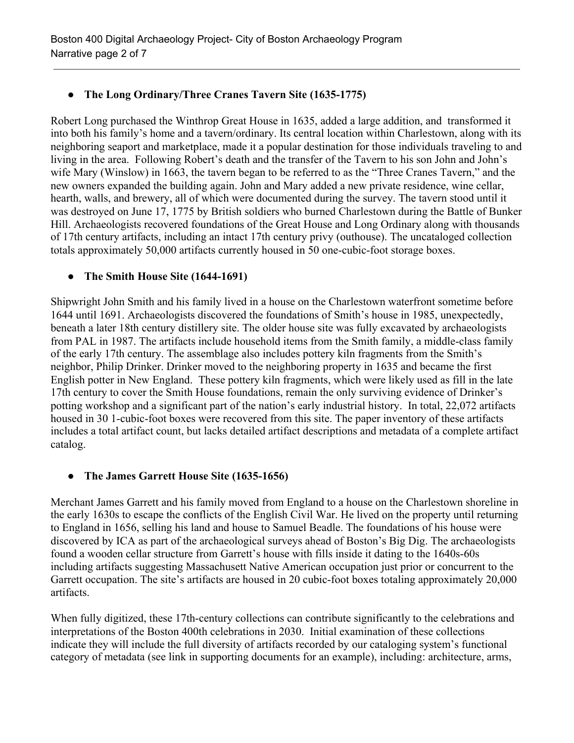# **● The Long Ordinary/Three Cranes Tavern Site (1635-1775)**

Robert Long purchased the Winthrop Great House in 1635, added a large addition, and transformed it into both his family's home and a tavern/ordinary. Its central location within Charlestown, along with its neighboring seaport and marketplace, made it a popular destination for those individuals traveling to and living in the area. Following Robert's death and the transfer of the Tavern to his son John and John's wife Mary (Winslow) in 1663, the tavern began to be referred to as the "Three Cranes Tavern," and the new owners expanded the building again. John and Mary added a new private residence, wine cellar, hearth, walls, and brewery, all of which were documented during the survey. The tavern stood until it was destroyed on June 17, 1775 by British soldiers who burned Charlestown during the Battle of Bunker Hill. Archaeologists recovered foundations of the Great House and Long Ordinary along with thousands of 17th century artifacts, including an intact 17th century privy (outhouse). The uncataloged collection totals approximately 50,000 artifacts currently housed in 50 one-cubic-foot storage boxes.

# ● **The Smith House Site (1644-1691)**

Shipwright John Smith and his family lived in a house on the Charlestown waterfront sometime before 1644 until 1691. Archaeologists discovered the foundations of Smith's house in 1985, unexpectedly, beneath a later 18th century distillery site. The older house site was fully excavated by archaeologists from PAL in 1987. The artifacts include household items from the Smith family, a middle-class family of the early 17th century. The assemblage also includes pottery kiln fragments from the Smith's neighbor, Philip Drinker. Drinker moved to the neighboring property in 1635 and became the first English potter in New England. These pottery kiln fragments, which were likely used as fill in the late 17th century to cover the Smith House foundations, remain the only surviving evidence of Drinker's potting workshop and a significant part of the nation's early industrial history. In total, 22,072 artifacts housed in 30 1-cubic-foot boxes were recovered from this site. The paper inventory of these artifacts includes a total artifact count, but lacks detailed artifact descriptions and metadata of a complete artifact catalog.

# **● The James Garrett House Site (1635-1656)**

Merchant James Garrett and his family moved from England to a house on the Charlestown shoreline in the early 1630s to escape the conflicts of the English Civil War. He lived on the property until returning to England in 1656, selling his land and house to Samuel Beadle. The foundations of his house were discovered by ICA as part of the archaeological surveys ahead of Boston's Big Dig. The archaeologists found a wooden cellar structure from Garrett's house with fills inside it dating to the 1640s-60s including artifacts suggesting Massachusett Native American occupation just prior or concurrent to the Garrett occupation. The site's artifacts are housed in 20 cubic-foot boxes totaling approximately 20,000 artifacts.

When fully digitized, these 17th-century collections can contribute significantly to the celebrations and interpretations of the Boston 400th celebrations in 2030. Initial examination of these collections indicate they will include the full diversity of artifacts recorded by our cataloging system's functional category of metadata (see link in supporting documents for an example), including: architecture, arms,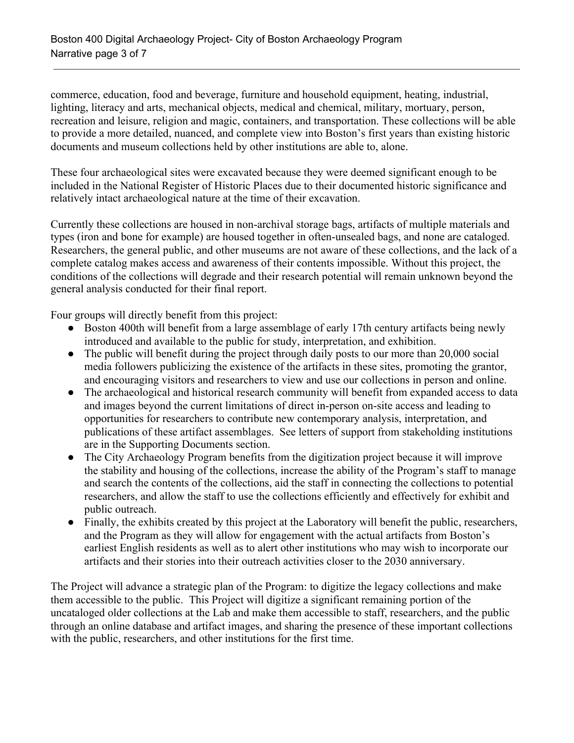commerce, education, food and beverage, furniture and household equipment, heating, industrial, lighting, literacy and arts, mechanical objects, medical and chemical, military, mortuary, person, recreation and leisure, religion and magic, containers, and transportation. These collections will be able to provide a more detailed, nuanced, and complete view into Boston's first years than existing historic documents and museum collections held by other institutions are able to, alone.

These four archaeological sites were excavated because they were deemed significant enough to be included in the National Register of Historic Places due to their documented historic significance and relatively intact archaeological nature at the time of their excavation.

Currently these collections are housed in non-archival storage bags, artifacts of multiple materials and types (iron and bone for example) are housed together in often-unsealed bags, and none are cataloged. Researchers, the general public, and other museums are not aware of these collections, and the lack of a complete catalog makes access and awareness of their contents impossible. Without this project, the conditions of the collections will degrade and their research potential will remain unknown beyond the general analysis conducted for their final report.

Four groups will directly benefit from this project:

- Boston 400th will benefit from a large assemblage of early 17th century artifacts being newly introduced and available to the public for study, interpretation, and exhibition.
- The public will benefit during the project through daily posts to our more than 20,000 social media followers publicizing the existence of the artifacts in these sites, promoting the grantor, and encouraging visitors and researchers to view and use our collections in person and online.
- The archaeological and historical research community will benefit from expanded access to data and images beyond the current limitations of direct in-person on-site access and leading to opportunities for researchers to contribute new contemporary analysis, interpretation, and publications of these artifact assemblages. See letters of support from stakeholding institutions are in the Supporting Documents section.
- The City Archaeology Program benefits from the digitization project because it will improve the stability and housing of the collections, increase the ability of the Program's staff to manage and search the contents of the collections, aid the staff in connecting the collections to potential researchers, and allow the staff to use the collections efficiently and effectively for exhibit and public outreach.
- Finally, the exhibits created by this project at the Laboratory will benefit the public, researchers, and the Program as they will allow for engagement with the actual artifacts from Boston's earliest English residents as well as to alert other institutions who may wish to incorporate our artifacts and their stories into their outreach activities closer to the 2030 anniversary.

The Project will advance a strategic plan of the Program: to digitize the legacy collections and make them accessible to the public. This Project will digitize a significant remaining portion of the uncataloged older collections at the Lab and make them accessible to staff, researchers, and the public through an online database and artifact images, and sharing the presence of these important collections with the public, researchers, and other institutions for the first time.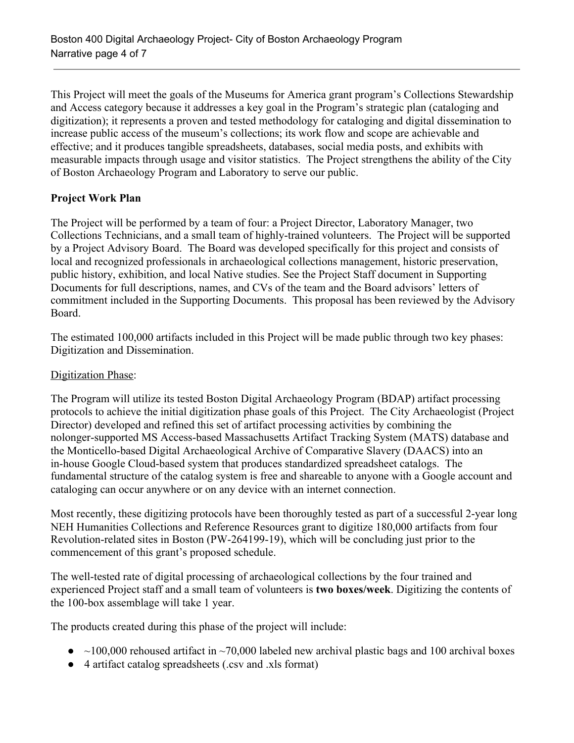This Project will meet the goals of the Museums for America grant program's Collections Stewardship and Access category because it addresses a key goal in the Program's strategic plan (cataloging and digitization); it represents a proven and tested methodology for cataloging and digital dissemination to increase public access of the museum's collections; its work flow and scope are achievable and effective; and it produces tangible spreadsheets, databases, social media posts, and exhibits with measurable impacts through usage and visitor statistics. The Project strengthens the ability of the City of Boston Archaeology Program and Laboratory to serve our public.

#### **Project Work Plan**

The Project will be performed by a team of four: a Project Director, Laboratory Manager, two Collections Technicians, and a small team of highly-trained volunteers. The Project will be supported by a Project Advisory Board. The Board was developed specifically for this project and consists of local and recognized professionals in archaeological collections management, historic preservation, public history, exhibition, and local Native studies. See the Project Staff document in Supporting Documents for full descriptions, names, and CVs of the team and the Board advisors' letters of commitment included in the Supporting Documents. This proposal has been reviewed by the Advisory Board.

The estimated 100,000 artifacts included in this Project will be made public through two key phases: Digitization and Dissemination.

#### Digitization Phase:

The Program will utilize its tested Boston Digital Archaeology Program (BDAP) artifact processing protocols to achieve the initial digitization phase goals of this Project. The City Archaeologist (Project Director) developed and refined this set of artifact processing activities by combining the nolonger-supported MS Access-based Massachusetts Artifact Tracking System (MATS) database and the Monticello-based Digital Archaeological Archive of Comparative Slavery (DAACS) into an in-house Google Cloud-based system that produces standardized spreadsheet catalogs. The fundamental structure of the catalog system is free and shareable to anyone with a Google account and cataloging can occur anywhere or on any device with an internet connection.

Most recently, these digitizing protocols have been thoroughly tested as part of a successful 2-year long NEH Humanities Collections and Reference Resources grant to digitize 180,000 artifacts from four Revolution-related sites in Boston (PW-264199-19), which will be concluding just prior to the commencement of this grant's proposed schedule.

The well-tested rate of digital processing of archaeological collections by the four trained and experienced Project staff and a small team of volunteers is **two boxes/week**. Digitizing the contents of the 100-box assemblage will take 1 year.

The products created during this phase of the project will include:

- $\bullet$  ~100,000 rehoused artifact in ~70,000 labeled new archival plastic bags and 100 archival boxes
- 4 artifact catalog spreadsheets (.csv and .xls format)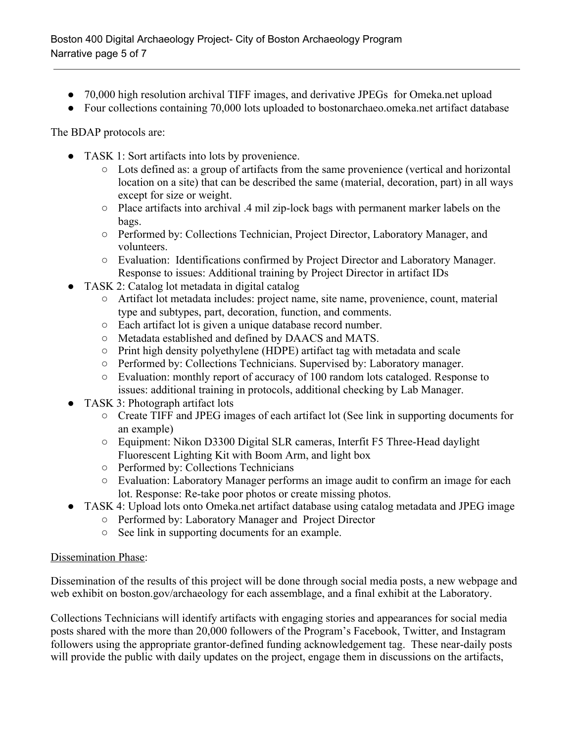- 70,000 high resolution archival TIFF images, and derivative JPEGs for Omeka.net upload
- Four collections containing 70,000 lots uploaded to bostonarchaeo.omeka.net artifact database

The BDAP protocols are:

- TASK 1: Sort artifacts into lots by provenience.
	- Lots defined as: a group of artifacts from the same provenience (vertical and horizontal location on a site) that can be described the same (material, decoration, part) in all ways except for size or weight.
	- Place artifacts into archival .4 mil zip-lock bags with permanent marker labels on the bags.
	- Performed by: Collections Technician, Project Director, Laboratory Manager, and volunteers.
	- Evaluation: Identifications confirmed by Project Director and Laboratory Manager. Response to issues: Additional training by Project Director in artifact IDs
- TASK 2: Catalog lot metadata in digital catalog
	- Artifact lot metadata includes: project name, site name, provenience, count, material type and subtypes, part, decoration, function, and comments.
	- Each artifact lot is given a unique database record number.
	- Metadata established and defined by DAACS and MATS.
	- Print high density polyethylene (HDPE) artifact tag with metadata and scale
	- Performed by: Collections Technicians. Supervised by: Laboratory manager.
	- Evaluation: monthly report of accuracy of 100 random lots cataloged. Response to issues: additional training in protocols, additional checking by Lab Manager.
- TASK 3: Photograph artifact lots
	- Create TIFF and JPEG images of each artifact lot (See link in supporting documents for an example)
	- Equipment: Nikon D3300 Digital SLR cameras, Interfit F5 Three-Head daylight Fluorescent Lighting Kit with Boom Arm, and light box
	- Performed by: Collections Technicians
	- Evaluation: Laboratory Manager performs an image audit to confirm an image for each lot. Response: Re-take poor photos or create missing photos.
- TASK 4: Upload lots onto Omeka.net artifact database using catalog metadata and JPEG image
	- Performed by: Laboratory Manager and Project Director
	- See link in supporting documents for an example.

#### Dissemination Phase:

Dissemination of the results of this project will be done through social media posts, a new webpage and web exhibit on boston.gov/archaeology for each assemblage, and a final exhibit at the Laboratory.

Collections Technicians will identify artifacts with engaging stories and appearances for social media posts shared with the more than 20,000 followers of the Program's Facebook, Twitter, and Instagram followers using the appropriate grantor-defined funding acknowledgement tag. These near-daily posts will provide the public with daily updates on the project, engage them in discussions on the artifacts,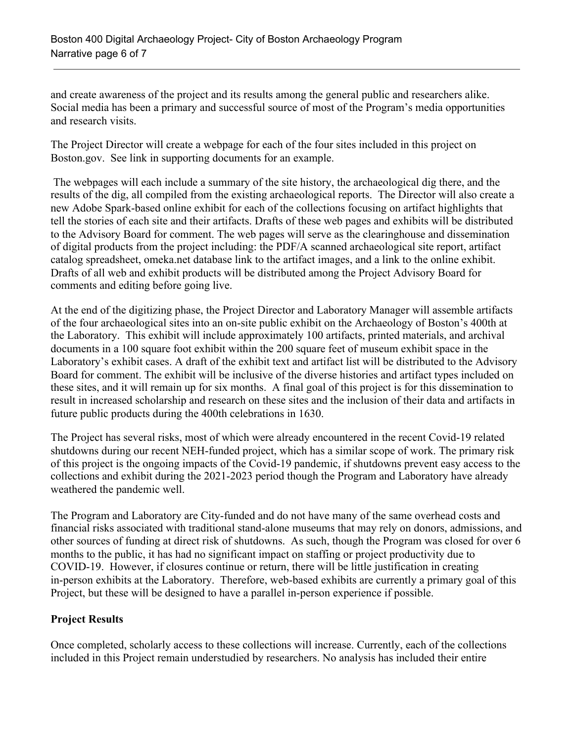and create awareness of the project and its results among the general public and researchers alike. Social media has been a primary and successful source of most of the Program's media opportunities and research visits.

The Project Director will create a webpage for each of the four sites included in this project on Boston.gov. See link in supporting documents for an example.

 The webpages will each include a summary of the site history, the archaeological dig there, and the results of the dig, all compiled from the existing archaeological reports. The Director will also create a new Adobe Spark-based online exhibit for each of the collections focusing on artifact highlights that tell the stories of each site and their artifacts. Drafts of these web pages and exhibits will be distributed to the Advisory Board for comment. The web pages will serve as the clearinghouse and dissemination of digital products from the project including: the PDF/A scanned archaeological site report, artifact catalog spreadsheet, omeka.net database link to the artifact images, and a link to the online exhibit. Drafts of all web and exhibit products will be distributed among the Project Advisory Board for comments and editing before going live.

At the end of the digitizing phase, the Project Director and Laboratory Manager will assemble artifacts of the four archaeological sites into an on-site public exhibit on the Archaeology of Boston's 400th at the Laboratory. This exhibit will include approximately 100 artifacts, printed materials, and archival documents in a 100 square foot exhibit within the 200 square feet of museum exhibit space in the Laboratory's exhibit cases. A draft of the exhibit text and artifact list will be distributed to the Advisory Board for comment. The exhibit will be inclusive of the diverse histories and artifact types included on these sites, and it will remain up for six months. A final goal of this project is for this dissemination to result in increased scholarship and research on these sites and the inclusion of their data and artifacts in future public products during the 400th celebrations in 1630.

The Project has several risks, most of which were already encountered in the recent Covid-19 related shutdowns during our recent NEH-funded project, which has a similar scope of work. The primary risk of this project is the ongoing impacts of the Covid-19 pandemic, if shutdowns prevent easy access to the collections and exhibit during the 2021-2023 period though the Program and Laboratory have already weathered the pandemic well.

The Program and Laboratory are City-funded and do not have many of the same overhead costs and financial risks associated with traditional stand-alone museums that may rely on donors, admissions, and other sources of funding at direct risk of shutdowns. As such, though the Program was closed for over 6 months to the public, it has had no significant impact on staffing or project productivity due to COVID-19. However, if closures continue or return, there will be little justification in creating in-person exhibits at the Laboratory. Therefore, web-based exhibits are currently a primary goal of this Project, but these will be designed to have a parallel in-person experience if possible.

# **Project Results**

Once completed, scholarly access to these collections will increase. Currently, each of the collections included in this Project remain understudied by researchers. No analysis has included their entire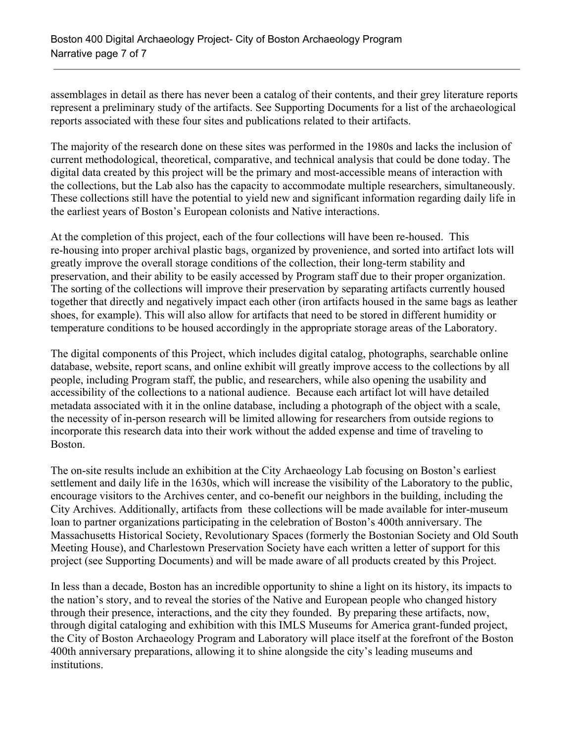assemblages in detail as there has never been a catalog of their contents, and their grey literature reports represent a preliminary study of the artifacts. See Supporting Documents for a list of the archaeological reports associated with these four sites and publications related to their artifacts.

The majority of the research done on these sites was performed in the 1980s and lacks the inclusion of current methodological, theoretical, comparative, and technical analysis that could be done today. The digital data created by this project will be the primary and most-accessible means of interaction with the collections, but the Lab also has the capacity to accommodate multiple researchers, simultaneously. These collections still have the potential to yield new and significant information regarding daily life in the earliest years of Boston's European colonists and Native interactions.

At the completion of this project, each of the four collections will have been re-housed. This re-housing into proper archival plastic bags, organized by provenience, and sorted into artifact lots will greatly improve the overall storage conditions of the collection, their long-term stability and preservation, and their ability to be easily accessed by Program staff due to their proper organization. The sorting of the collections will improve their preservation by separating artifacts currently housed together that directly and negatively impact each other (iron artifacts housed in the same bags as leather shoes, for example). This will also allow for artifacts that need to be stored in different humidity or temperature conditions to be housed accordingly in the appropriate storage areas of the Laboratory.

The digital components of this Project, which includes digital catalog, photographs, searchable online database, website, report scans, and online exhibit will greatly improve access to the collections by all people, including Program staff, the public, and researchers, while also opening the usability and accessibility of the collections to a national audience. Because each artifact lot will have detailed metadata associated with it in the online database, including a photograph of the object with a scale, the necessity of in-person research will be limited allowing for researchers from outside regions to incorporate this research data into their work without the added expense and time of traveling to Boston.

The on-site results include an exhibition at the City Archaeology Lab focusing on Boston's earliest settlement and daily life in the 1630s, which will increase the visibility of the Laboratory to the public, encourage visitors to the Archives center, and co-benefit our neighbors in the building, including the City Archives. Additionally, artifacts from these collections will be made available for inter-museum loan to partner organizations participating in the celebration of Boston's 400th anniversary. The Massachusetts Historical Society, Revolutionary Spaces (formerly the Bostonian Society and Old South Meeting House), and Charlestown Preservation Society have each written a letter of support for this project (see Supporting Documents) and will be made aware of all products created by this Project.

In less than a decade, Boston has an incredible opportunity to shine a light on its history, its impacts to the nation's story, and to reveal the stories of the Native and European people who changed history through their presence, interactions, and the city they founded. By preparing these artifacts, now, through digital cataloging and exhibition with this IMLS Museums for America grant-funded project, the City of Boston Archaeology Program and Laboratory will place itself at the forefront of the Boston 400th anniversary preparations, allowing it to shine alongside the city's leading museums and institutions.